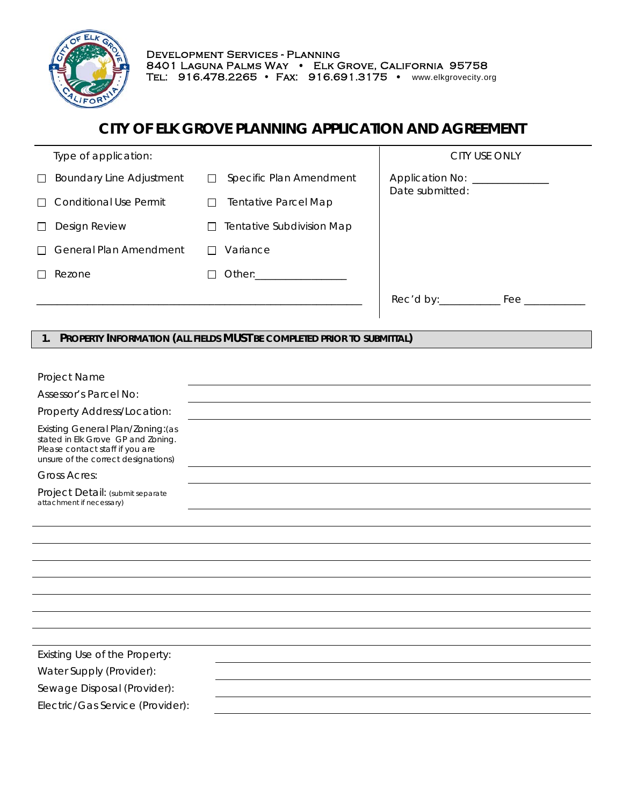

I

# **CITY OF ELK GROVE PLANNING APPLICATION AND AGREEMENT**

|        | Type of application:            |                                                                                                                                                                                                                                | CITY USE ONLY                        |
|--------|---------------------------------|--------------------------------------------------------------------------------------------------------------------------------------------------------------------------------------------------------------------------------|--------------------------------------|
| $\Box$ | <b>Boundary Line Adjustment</b> | Specific Plan Amendment<br>$\Box$                                                                                                                                                                                              | Date submitted:                      |
|        | $\Box$ Conditional Use Permit   | <b>Tentative Parcel Map</b><br>П                                                                                                                                                                                               |                                      |
| П      | Design Review                   | Tentative Subdivision Map                                                                                                                                                                                                      |                                      |
|        | $\Box$ General Plan Amendment   | Variance                                                                                                                                                                                                                       |                                      |
|        | Rezone                          | Other: the contract of the contract of the contract of the contract of the contract of the contract of the contract of the contract of the contract of the contract of the contract of the contract of the contract of the con |                                      |
|        |                                 |                                                                                                                                                                                                                                | Rec'd by:___________<br>$^{\rm Fee}$ |
|        |                                 |                                                                                                                                                                                                                                |                                      |

## **1. PROPERTY INFORMATION (ALL FIELDS MUST BE COMPLETED PRIOR TO SUBMITTAL)**

| Project Name                                                                                                                                      |  |
|---------------------------------------------------------------------------------------------------------------------------------------------------|--|
| Assessor's Parcel No:                                                                                                                             |  |
| Property Address/Location:                                                                                                                        |  |
| Existing General Plan/Zoning: (as<br>stated in Elk Grove GP and Zoning.<br>Please contact staff if you are<br>unsure of the correct designations) |  |
| <b>Gross Acres:</b>                                                                                                                               |  |
| Project Detail: (submit separate<br>attachment if necessary)                                                                                      |  |
|                                                                                                                                                   |  |
|                                                                                                                                                   |  |
|                                                                                                                                                   |  |
|                                                                                                                                                   |  |
|                                                                                                                                                   |  |
|                                                                                                                                                   |  |
|                                                                                                                                                   |  |
|                                                                                                                                                   |  |
| Existing Use of the Property:                                                                                                                     |  |
| Water Supply (Provider):                                                                                                                          |  |
| Sewage Disposal (Provider):                                                                                                                       |  |
| Electric/Gas Service (Provider):                                                                                                                  |  |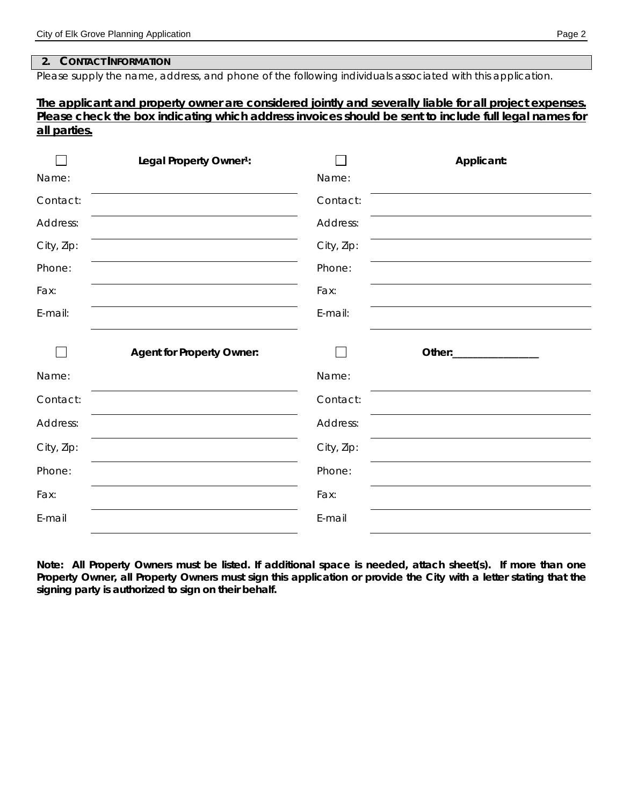#### **2. CONTACT INFORMATION**

Please supply the name, address, and phone of the following individuals associated with this application.

### *The applicant and property owner are considered jointly and severally liable for all project expenses. Please check the box indicating which address invoices should be sent to include full legal names for all parties.*

| Legal Property Owner <sup>1</sup> : |            | Applicant:              |
|-------------------------------------|------------|-------------------------|
|                                     | Name:      |                         |
|                                     | Contact:   |                         |
|                                     | Address:   |                         |
|                                     | City, Zip: |                         |
|                                     | Phone:     |                         |
|                                     | Fax:       |                         |
|                                     | E-mail:    |                         |
| <b>Agent for Property Owner:</b>    |            | Other:_________________ |
|                                     | Name:      |                         |
|                                     | Contact:   |                         |
|                                     | Address:   |                         |
|                                     | City, Zip: |                         |
|                                     | Phone:     |                         |
|                                     | Fax:       |                         |
|                                     | E-mail     |                         |
|                                     |            |                         |

**Note: All Property Owners must be listed. If additional space is needed, attach sheet(s). If more than one Property Owner, all Property Owners must sign this application or provide the City with a letter stating that the signing party is authorized to sign on their behalf.**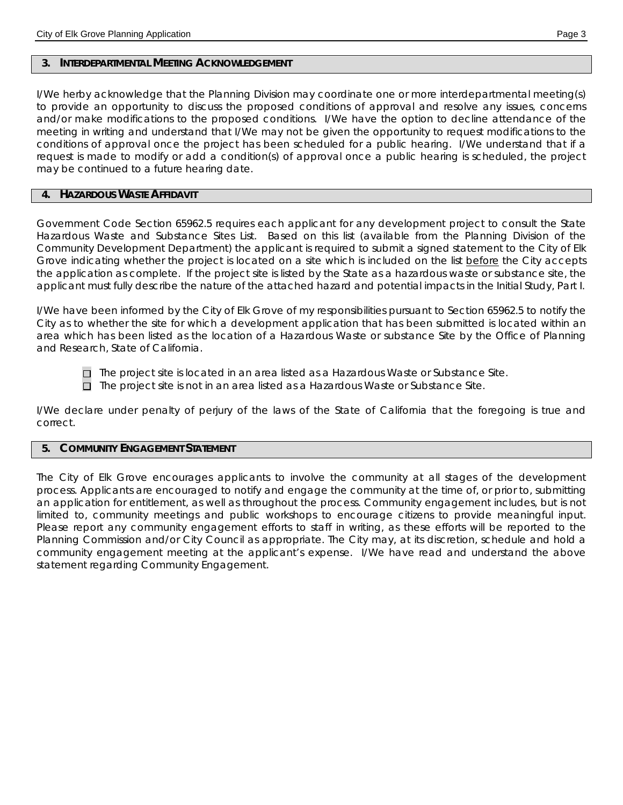#### **3. INTERDEPARTMENTAL MEETING ACKNOWLEDGEMENT**

I/We herby acknowledge that the Planning Division may coordinate one or more interdepartmental meeting(s) to provide an opportunity to discuss the proposed conditions of approval and resolve any issues, concerns and/or make modifications to the proposed conditions. I/We have the option to decline attendance of the meeting in writing and understand that I/We may not be given the opportunity to request modifications to the conditions of approval once the project has been scheduled for a public hearing. I/We understand that if a request is made to modify or add a condition(s) of approval once a public hearing is scheduled, the project may be continued to a future hearing date.

#### **4. HAZARDOUS WASTE AFFIDAVIT**

Government Code Section 65962.5 requires each applicant for any development project to consult the State Hazardous Waste and Substance Sites List. Based on this list (available from the Planning Division of the Community Development Department) the applicant is required to submit a signed statement to the City of Elk Grove indicating whether the project is located on a site which is included on the list before the City accepts the application as complete. If the project site is listed by the State as a hazardous waste or substance site, the applicant must fully describe the nature of the attached hazard and potential impacts in the Initial Study, Part I.

I/We have been informed by the City of Elk Grove of my responsibilities pursuant to Section 65962.5 to notify the City as to whether the site for which a development application that has been submitted is located within an area which has been listed as the location of a Hazardous Waste or substance Site by the Office of Planning and Research, State of California.

 $\Box$  The project site is located in an area listed as a Hazardous Waste or Substance Site.

 $\Box$  The project site is not in an area listed as a Hazardous Waste or Substance Site.

I/We declare under penalty of perjury of the laws of the State of California that the foregoing is true and correct.

#### **5. COMMUNITY ENGAGEMENT STATEMENT**

The City of Elk Grove encourages applicants to involve the community at all stages of the development process. Applicants are encouraged to notify and engage the community at the time of, or prior to, submitting an application for entitlement, as well as throughout the process. Community engagement includes, but is not limited to, community meetings and public workshops to encourage citizens to provide meaningful input. Please report any community engagement efforts to staff in writing, as these efforts will be reported to the Planning Commission and/or City Council as appropriate. The City may, at its discretion, schedule and hold a community engagement meeting at the applicant's expense. *I/We have read and understand the above statement regarding Community Engagement.*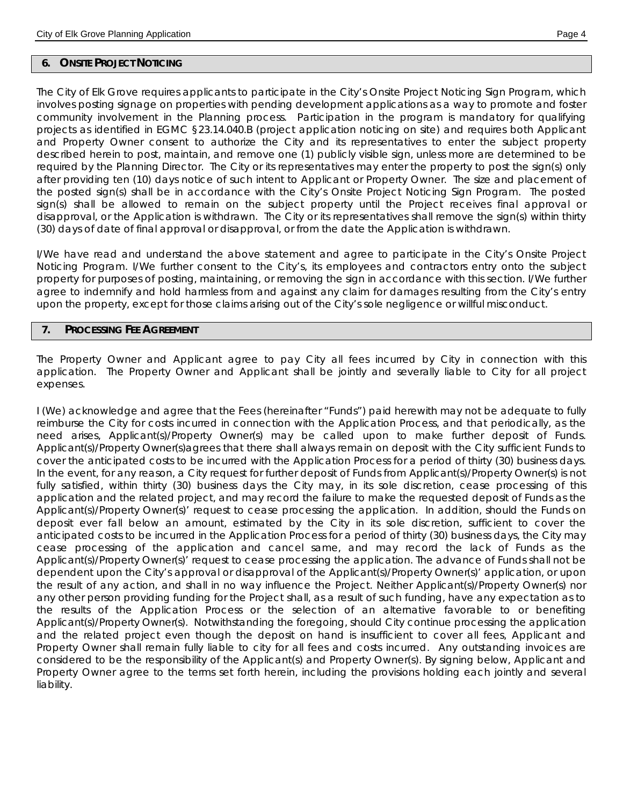#### **6. ONSITE PROJECT NOTICING**

The City of Elk Grove requires applicants to participate in the City's Onsite Project Noticing Sign Program, which involves posting signage on properties with pending development applications as a way to promote and foster community involvement in the Planning process. Participation in the program is mandatory for qualifying projects as identified in EGMC §23.14.040.B (project application noticing on site) and requires both Applicant and Property Owner consent to authorize the City and its representatives to enter the subject property described herein to post, maintain, and remove one (1) publicly visible sign, unless more are determined to be required by the Planning Director. The City or its representatives may enter the property to post the sign(s) only after providing ten (10) days notice of such intent to Applicant or Property Owner. The size and placement of the posted sign(s) shall be in accordance with the City's Onsite Project Noticing Sign Program. The posted sign(s) shall be allowed to remain on the subject property until the Project receives final approval or disapproval, or the Application is withdrawn. The City or its representatives shall remove the sign(s) within thirty (30) days of date of final approval or disapproval, or from the date the Application is withdrawn.

*I/We have read and understand the above statement and agree to participate in the City's Onsite Project Noticing Program. I/We further consent to the City's, its employees and contractors entry onto the subject property for purposes of posting, maintaining, or removing the sign in accordance with this section. I/We further agree to indemnify and hold harmless from and against any claim for damages resulting from the City's entry upon the property, except for those claims arising out of the City's sole negligence or willful misconduct.*

#### **7. PROCESSING FEE AGREEMENT**

The Property Owner and Applicant agree to pay City all fees incurred by City in connection with this application. The Property Owner and Applicant shall be jointly and severally liable to City for all project expenses.

I (We) acknowledge and agree that the Fees (hereinafter "Funds") paid herewith may not be adequate to fully reimburse the City for costs incurred in connection with the Application Process, and that periodically, as the need arises, Applicant(s)/Property Owner(s) may be called upon to make further deposit of Funds. Applicant(s)/Property Owner(s)agrees that there shall always remain on deposit with the City sufficient Funds to cover the anticipated costs to be incurred with the Application Process for a period of thirty (30) business days. In the event, for any reason, a City request for further deposit of Funds from Applicant(s)/Property Owner(s) is not fully satisfied, within thirty (30) business days the City may, in its sole discretion, cease processing of this application and the related project, and may record the failure to make the requested deposit of Funds as the Applicant(s)/Property Owner(s)' request to cease processing the application. In addition, should the Funds on deposit ever fall below an amount, estimated by the City in its sole discretion, sufficient to cover the anticipated costs to be incurred in the Application Process for a period of thirty (30) business days, the City may cease processing of the application and cancel same, and may record the lack of Funds as the Applicant(s)/Property Owner(s)' request to cease processing the application. The advance of Funds shall not be dependent upon the City's approval or disapproval of the Applicant(s)/Property Owner(s)' application, or upon the result of any action, and shall in no way influence the Project. Neither Applicant(s)/Property Owner(s) nor any other person providing funding for the Project shall, as a result of such funding, have any expectation as to the results of the Application Process or the selection of an alternative favorable to or benefiting Applicant(s)/Property Owner(s). Notwithstanding the foregoing, should City continue processing the application and the related project even though the deposit on hand is insufficient to cover all fees, Applicant and Property Owner shall remain fully liable to city for all fees and costs incurred. Any outstanding invoices are considered to be the responsibility of the Applicant(s) and Property Owner(s). By signing below, Applicant and Property Owner agree to the terms set forth herein, including the provisions holding each jointly and several liability.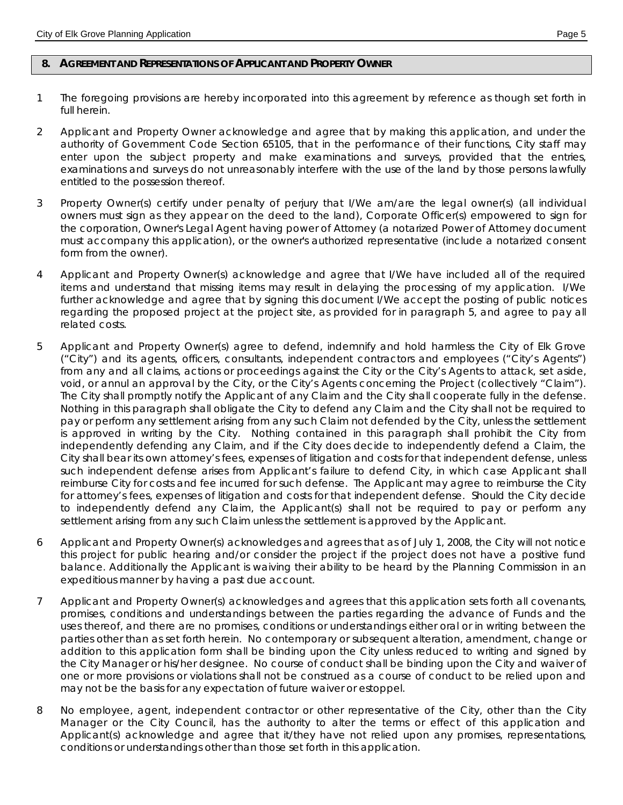### **8. AGREEMENT AND REPRESENTATIONS OF APPLICANT AND PROPERTY OWNER**

- 1 The foregoing provisions are hereby incorporated into this agreement by reference as though set forth in full herein.
- 2 Applicant and Property Owner acknowledge and agree that by making this application, and under the authority of Government Code Section 65105, that in the performance of their functions, City staff may enter upon the subject property and make examinations and surveys, provided that the entries, examinations and surveys do not unreasonably interfere with the use of the land by those persons lawfully entitled to the possession thereof.
- 3 Property Owner(s) certify under penalty of perjury that I/We am/are the legal owner(s) (all individual owners must sign as they appear on the deed to the land), Corporate Officer(s) empowered to sign for the corporation, Owner's Legal Agent having power of Attorney (a notarized Power of Attorney document must accompany this application), or the owner's authorized representative (include a notarized consent form from the owner).
- 4 Applicant and Property Owner(s) acknowledge and agree that I/We have included all of the required items and understand that missing items may result in delaying the processing of my application. I/We further acknowledge and agree that by signing this document I/We accept the posting of public notices regarding the proposed project at the project site, as provided for in paragraph 5, and agree to pay all related costs.
- 5 Applicant and Property Owner(s) agree to defend, indemnify and hold harmless the City of Elk Grove ("City") and its agents, officers, consultants, independent contractors and employees ("City's Agents") from any and all claims, actions or proceedings against the City or the City's Agents to attack, set aside, void, or annul an approval by the City, or the City's Agents concerning the Project (collectively "Claim"). The City shall promptly notify the Applicant of any Claim and the City shall cooperate fully in the defense. Nothing in this paragraph shall obligate the City to defend any Claim and the City shall not be required to pay or perform any settlement arising from any such Claim not defended by the City, unless the settlement is approved in writing by the City. Nothing contained in this paragraph shall prohibit the City from independently defending any Claim, and if the City does decide to independently defend a Claim, the City shall bear its own attorney's fees, expenses of litigation and costs for that independent defense, unless such independent defense arises from Applicant's failure to defend City, in which case Applicant shall reimburse City for costs and fee incurred for such defense. The Applicant may agree to reimburse the City for attorney's fees, expenses of litigation and costs for that independent defense. Should the City decide to independently defend any Claim, the Applicant(s) shall not be required to pay or perform any settlement arising from any such Claim unless the settlement is approved by the Applicant.
- 6 Applicant and Property Owner(s) acknowledges and agrees that as of July 1, 2008, the City will not notice this project for public hearing and/or consider the project if the project does not have a positive fund balance. Additionally the Applicant is waiving their ability to be heard by the Planning Commission in an expeditious manner by having a past due account.
- 7 Applicant and Property Owner(s) acknowledges and agrees that this application sets forth all covenants, promises, conditions and understandings between the parties regarding the advance of Funds and the uses thereof, and there are no promises, conditions or understandings either oral or in writing between the parties other than as set forth herein. No contemporary or subsequent alteration, amendment, change or addition to this application form shall be binding upon the City unless reduced to writing and signed by the City Manager or his/her designee. No course of conduct shall be binding upon the City and waiver of one or more provisions or violations shall not be construed as a course of conduct to be relied upon and may not be the basis for any expectation of future waiver or estoppel.
- 8 No employee, agent, independent contractor or other representative of the City, other than the City Manager or the City Council, has the authority to alter the terms or effect of this application and Applicant(s) acknowledge and agree that it/they have not relied upon any promises, representations, conditions or understandings other than those set forth in this application.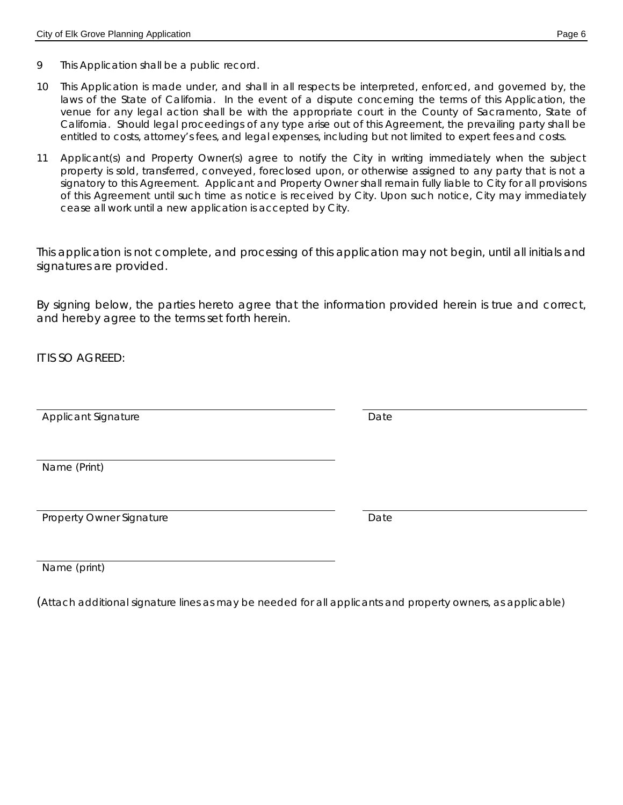- 9 This Application shall be a public record.
- 10 This Application is made under, and shall in all respects be interpreted, enforced, and governed by, the laws of the State of California. In the event of a dispute concerning the terms of this Application, the venue for any legal action shall be with the appropriate court in the County of Sacramento, State of California. Should legal proceedings of any type arise out of this Agreement, the prevailing party shall be entitled to costs, attorney's fees, and legal expenses, including but not limited to expert fees and costs.
- 11 Applicant(s) and Property Owner(s) agree to notify the City in writing immediately when the subject property is sold, transferred, conveyed, foreclosed upon, or otherwise assigned to any party that is not a signatory to this Agreement. Applicant and Property Owner shall remain fully liable to City for all provisions of this Agreement until such time as notice is received by City. Upon such notice, City may immediately cease all work until a new application is accepted by City.

*This application is not complete, and processing of this application may not begin, until all initials and signatures are provided.*

By signing below, the parties hereto agree that the information provided herein is true and correct, and hereby agree to the terms set forth herein.

IT IS SO AGREED:

Applicant Signature **Date** Date

Name (Print)

| <b>Property Owner Signature</b> | Date |
|---------------------------------|------|
|---------------------------------|------|

Name (print)

(Attach additional signature lines as may be needed for all applicants and property owners, as applicable)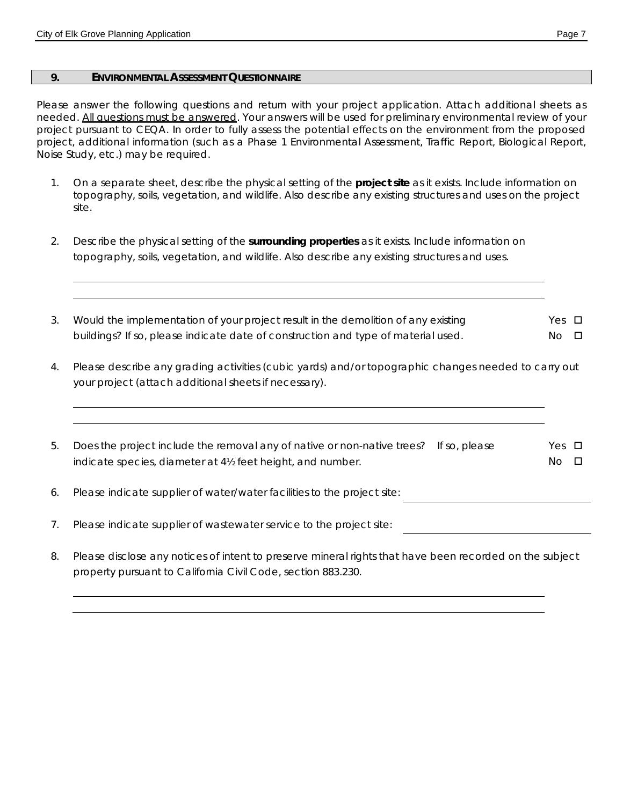#### **9. ENVIRONMENTAL ASSESSMENT QUESTIONNAIRE**

Please answer the following questions and return with your project application. Attach additional sheets as needed. All questions must be answered. Your answers will be used for preliminary environmental review of your project pursuant to CEQA. In order to fully assess the potential effects on the environment from the proposed project, additional information (such as a Phase 1 Environmental Assessment, Traffic Report, Biological Report, Noise Study, etc.) may be required.

- 1. On a separate sheet, describe the physical setting of the **project site** as it exists. Include information on topography, soils, vegetation, and wildlife. Also describe any existing structures and uses on the project site.
- 2. Describe the physical setting of the **surrounding properties** as it exists. Include information on topography, soils, vegetation, and wildlife. Also describe any existing structures and uses.
- 3. Would the implementation of your project result in the demolition of any existing buildings? If so, please indicate date of construction and type of material used. Yes **D**  $No$   $\Box$
- 4. Please describe any grading activities (cubic yards) and/or topographic changes needed to carry out your project (attach additional sheets if necessary).
- 5. Does the project include the removal any of native or non-native trees? If so, please indicate species, diameter at 4½ feet height, and number. Yes  $\Box$  $N_O$   $\Box$
- 6. Please indicate supplier of water/water facilities to the project site:
- 7. Please indicate supplier of wastewater service to the project site:
- 8. Please disclose any notices of intent to preserve mineral rights that have been recorded on the subject property pursuant to California Civil Code, section 883.230.